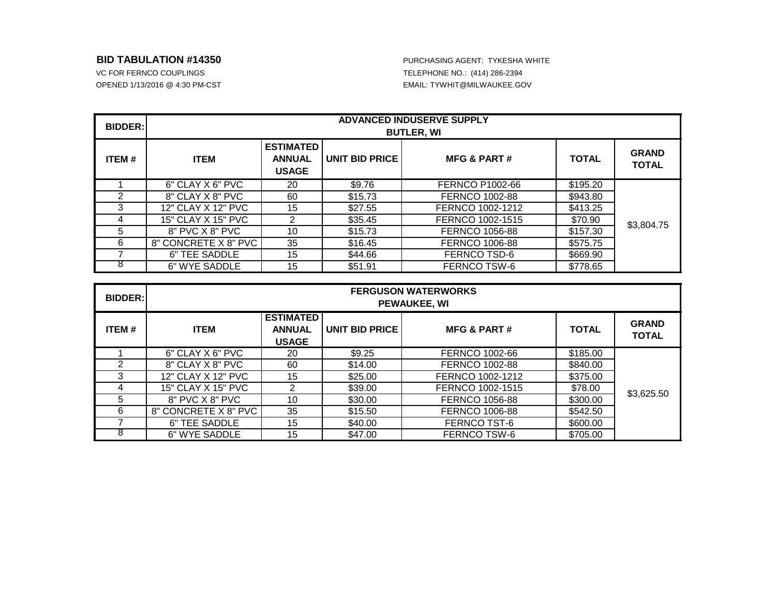## **BID TABULATION #14350** PURCHASING AGENT: TYKESHA WHITE

OPENED 1/13/2016 @ 4:30 PM-CST **Alta Contract Contract Contract Contract Contract Contract Contract Contract Contract Contract Contract Contract Contract Contract Contract Contract Contract Contract Contract Contract Contr** 

| <b>BIDDER:</b> | <b>ADVANCED INDUSERVE SUPPLY</b><br><b>BUTLER, WI</b> |                                                   |                       |                        |              |                              |  |
|----------------|-------------------------------------------------------|---------------------------------------------------|-----------------------|------------------------|--------------|------------------------------|--|
| ITEM#          | <b>ITEM</b>                                           | <b>ESTIMATED</b><br><b>ANNUAL</b><br><b>USAGE</b> | <b>UNIT BID PRICE</b> | <b>MFG &amp; PART#</b> | <b>TOTAL</b> | <b>GRAND</b><br><b>TOTAL</b> |  |
|                | 6" CLAY X 6" PVC                                      | 20                                                | \$9.76                | FERNCO P1002-66        | \$195.20     | \$3,804.75                   |  |
| 2              | 8" CLAY X 8" PVC                                      | 60                                                | \$15.73               | FERNCO 1002-88         | \$943.80     |                              |  |
| 3              | 12" CLAY X 12" PVC                                    | 15                                                | \$27.55               | FERNCO 1002-1212       | \$413.25     |                              |  |
| 4              | 15" CLAY X 15" PVC                                    | 2                                                 | \$35.45               | FERNCO 1002-1515       | \$70.90      |                              |  |
| 5              | 8" PVC X 8" PVC                                       | 10                                                | \$15.73               | <b>FERNCO 1056-88</b>  | \$157.30     |                              |  |
| 6              | 8" CONCRETE X 8" PVC                                  | 35                                                | \$16.45               | FERNCO 1006-88         | \$575.75     |                              |  |
|                | 6" TEE SADDLE                                         | 15                                                | \$44.66               | FERNCO TSD-6           | \$669.90     |                              |  |
| ŏ              | 6" WYE SADDLE                                         | 15                                                | \$51.91               | FERNCO TSW-6           | \$778.65     |                              |  |

| <b>BIDDER:</b> | <b>FERGUSON WATERWORKS</b><br><b>PEWAUKEE, WI</b> |                                                   |                       |                        |              |                              |  |
|----------------|---------------------------------------------------|---------------------------------------------------|-----------------------|------------------------|--------------|------------------------------|--|
| <b>ITEM#</b>   | <b>ITEM</b>                                       | <b>ESTIMATED</b><br><b>ANNUAL</b><br><b>USAGE</b> | <b>UNIT BID PRICE</b> | <b>MFG &amp; PART#</b> | <b>TOTAL</b> | <b>GRAND</b><br><b>TOTAL</b> |  |
|                | 6" CLAY X 6" PVC                                  | 20                                                | \$9.25                | FERNCO 1002-66         | \$185.00     | \$3,625.50                   |  |
| $\mathfrak{p}$ | 8" CLAY X 8" PVC                                  | 60                                                | \$14.00               | <b>FERNCO 1002-88</b>  | \$840.00     |                              |  |
| 3              | 12" CLAY X 12" PVC                                | 15                                                | \$25.00               | FERNCO 1002-1212       | \$375.00     |                              |  |
| 4              | 15" CLAY X 15" PVC                                | 2                                                 | \$39.00               | FERNCO 1002-1515       | \$78.00      |                              |  |
| 5              | 8" PVC X 8" PVC                                   | 10                                                | \$30.00               | FERNCO 1056-88         | \$300.00     |                              |  |
| 6              | 8" CONCRETE X 8" PVC                              | 35                                                | \$15.50               | FERNCO 1006-88         | \$542.50     |                              |  |
|                | 6" TEE SADDLE                                     | 15                                                | \$40.00               | FERNCO TST-6           | \$600.00     |                              |  |
|                | 6" WYE SADDLE                                     | 15                                                | \$47.00               | FERNCO TSW-6           | \$705.00     |                              |  |